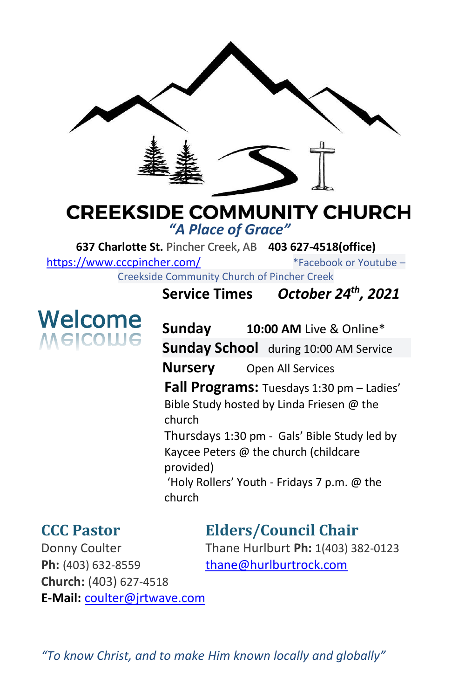

# **CREEKSIDE COMMUNITY CHURCH** *"A Place of Grace"*

**637 Charlotte St.** Pincher Creek, AB **403 627-4518(office)** 

<https://www.cccpincher.com/>\*Facebook or Youtube –

Creekside Community Church of Pincher Creek

# Welcome **VelCOME**

**Service Times** *October 24th, 2021*

**Sunday 10:00 AM** Live & Online\* **Sunday School** during 10:00 AM Service **Nursery** Open All Services **Fall Programs:** Tuesdays 1:30 pm – Ladies' Bible Study hosted by Linda Friesen @ the church Thursdays 1:30 pm - Gals' Bible Study led by Kaycee Peters @ the church (childcare provided) 'Holy Rollers' Youth - Fridays 7 p.m. @ the church

# **CCC Pastor Elders/Council Chair**

Ph: (403) 632-8559 [thane@hurlburtrock.com](mailto:thane@hurlburtrock.com) **Church:** (403) 627-4518 **E-Mail:** [coulter@jrtwave.com](mailto:coulter@jrtwave.com)

Donny Coulter Thane Hurlburt **Ph:** 1(403) 382-0123

*"To know Christ, and to make Him known locally and globally"*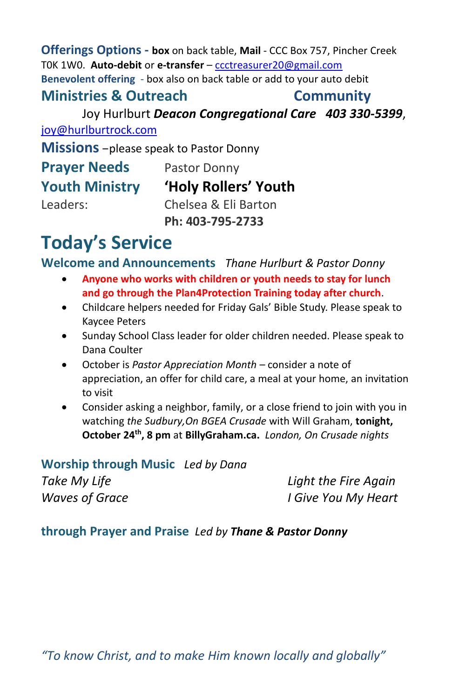# **Offerings Options - box** on back table, **Mail** - CCC Box 757, Pincher Creek T0K 1W0. **Auto-debit** or **e-transfer** – [ccctreasurer20@gmail.com](mailto:ccctreasurer20@gmail.com) **Benevolent offering** - box also on back table or add to your auto debit

### **Ministries & Outreach Community**

Joy Hurlburt *Deacon Congregational Care 403 330-5399*, [joy@hurlburtrock.com](mailto:joy@hurlburtrock.com)

**Missions** –please speak to Pastor Donny

| <b>Prayer Needs</b>   | Pastor Donny         |
|-----------------------|----------------------|
| <b>Youth Ministry</b> | 'Holy Rollers' Youth |
| Leaders:              | Chelsea & Eli Barton |
|                       | Ph: 403-795-2733     |

# **Today's Service**

**Welcome and Announcements** *Thane Hurlburt & Pastor Donny*

- **Anyone who works with children or youth needs to stay for lunch and go through the Plan4Protection Training today after church**.
- Childcare helpers needed for Friday Gals' Bible Study. Please speak to Kaycee Peters
- Sunday School Class leader for older children needed. Please speak to Dana Coulter
- October is *Pastor Appreciation Month* consider a note of appreciation, an offer for child care, a meal at your home, an invitation to visit
- Consider asking a neighbor, family, or a close friend to join with you in watching *the Sudbury,On BGEA Crusade* with Will Graham, **tonight, October 24th, 8 pm** at **BillyGraham.ca.** *London, On Crusade nights*

**Worship through Music** *Led by Dana Take My Life Light the Fire Again Waves of Grace I Give You My Heart*

# **through Prayer and Praise** *Led by Thane & Pastor Donny*

*"To know Christ, and to make Him known locally and globally"*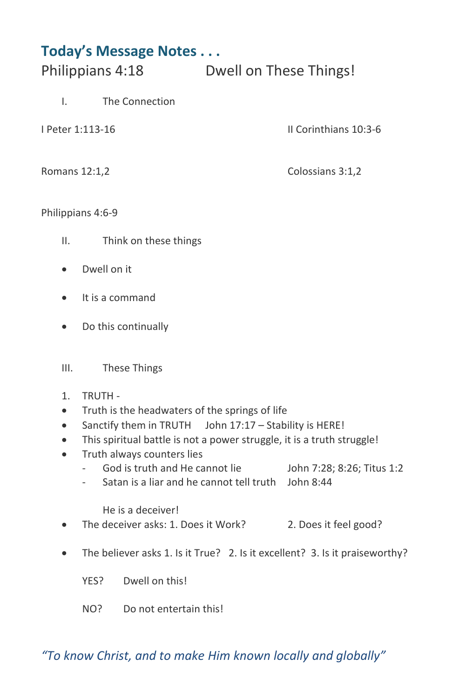# **Today's Message Notes . . .**

Philippians 4:18 Dwell on These Things!

- I. The Connection
- 

I Peter 1:113-16 II Corinthians 10:3-6

Romans 12:1,2 Colossians 3:1,2

### Philippians 4:6-9

- II. Think on these things
- Dwell on it
- It is a command
- Do this continually

### III. These Things

- 1. TRUTH -
- Truth is the headwaters of the springs of life
- Sanctify them in TRUTH John 17:17 Stability is HERE!
- This spiritual battle is not a power struggle, it is a truth struggle!
- Truth always counters lies
	- God is truth and He cannot lie John 7:28; 8:26; Titus 1:2
	- Satan is a liar and he cannot tell truth John 8:44

He is a deceiver!

- The deceiver asks: 1. Does it Work? 2. Does it feel good?
- The believer asks 1. Is it True? 2. Is it excellent? 3. Is it praiseworthy?
	- YES? Dwell on this!
	- NO? Do not entertain this!

# *"To know Christ, and to make Him known locally and globally"*